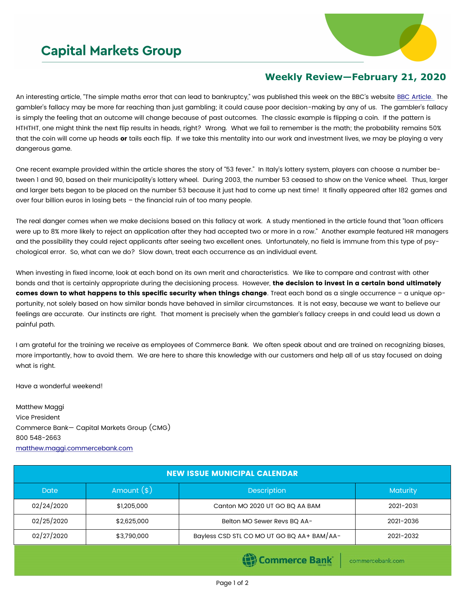## **Capital Markets Group**



## **Weekly Review—February 21, 2020**

An interesting article, "The simple maths error that can lead to bankruptcy," was published this week on the BBC's website [BBC Article.](https://www.bbc.com/worklife/article/20200217-the-simple-maths-error-that-can-lead-to-bankruptcy) The gambler's fallacy may be more far reaching than just gambling; it could cause poor decision-making by any of us. The gambler's fallacy is simply the feeling that an outcome will change because of past outcomes. The classic example is flipping a coin. If the pattern is HTHTHT, one might think the next flip results in heads, right? Wrong. What we fail to remember is the math; the probability remains 50% that the coin will come up heads or tails each flip. If we take this mentality into our work and investment lives, we may be playing a very dangerous game.

One recent example provided within the article shares the story of "53 fever." In Italy's lottery system, players can choose a number between 1 and 90, based on their municipality's lottery wheel. During 2003, the number 53 ceased to show on the Venice wheel. Thus, larger and larger bets began to be placed on the number 53 because it just had to come up next time! It finally appeared after 182 games and over four billion euros in losing bets – the financial ruin of too many people.

The real danger comes when we make decisions based on this fallacy at work. A study mentioned in the article found that "loan officers were up to 8% more likely to reject an application after they had accepted two or more in a row." Another example featured HR managers and the possibility they could reject applicants after seeing two excellent ones. Unfortunately, no field is immune from this type of psychological error. So, what can we do? Slow down, treat each occurrence as an individual event.

When investing in fixed income, look at each bond on its own merit and characteristics. We like to compare and contrast with other bonds and that is certainly appropriate during the decisioning process. However, the decision to invest in a certain bond ultimately comes down to what happens to this specific security when things change. Treat each bond as a single occurrence - a unique opportunity, not solely based on how similar bonds have behaved in similar circumstances. It is not easy, because we want to believe our feelings are accurate. Our instincts are right. That moment is precisely when the gambler's fallacy creeps in and could lead us down a painful path.

I am grateful for the training we receive as employees of Commerce Bank. We often speak about and are trained on recognizing biases, more importantly, how to avoid them. We are here to share this knowledge with our customers and help all of us stay focused on doing what is right.

Have a wonderful weekend!

Matthew Maggi Vice President Commerce Bank— Capital Markets Group (CMG) 800 548-2663 [matthew.maggi.commercebank.com](mailto:matthew.maggi@commercebank.com)

| <b>NEW ISSUE MUNICIPAL CALENDAR</b> |              |                                            |                 |  |  |  |  |
|-------------------------------------|--------------|--------------------------------------------|-----------------|--|--|--|--|
| <b>Date</b>                         | Amount $(*)$ | <b>Description</b>                         | <b>Maturity</b> |  |  |  |  |
| 02/24/2020                          | \$1,205,000  | Canton MO 2020 UT GO BQ AA BAM             | 2021-2031       |  |  |  |  |
| 02/25/2020                          | \$2,625,000  | Belton MO Sewer Revs BQ AA-                | 2021-2036       |  |  |  |  |
| 02/27/2020                          | \$3,790,000  | Bayless CSD STL CO MO UT GO BQ AA+ BAM/AA- | 2021-2032       |  |  |  |  |
|                                     |              |                                            |                 |  |  |  |  |

(B) Commerce Bank

commercebank.com